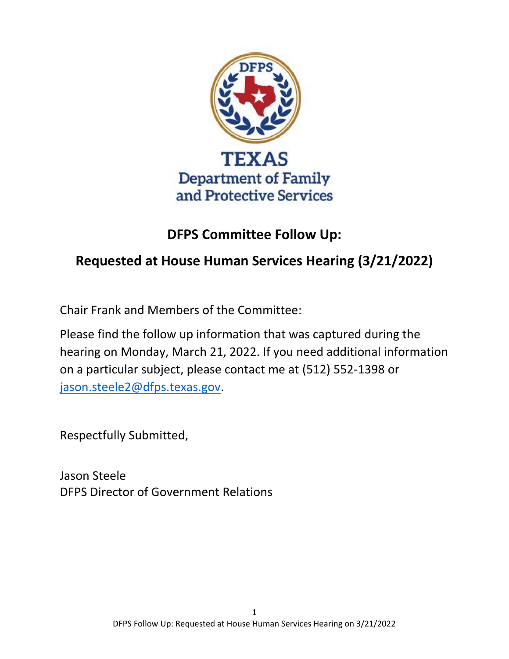

# **DFPS Committee Follow Up:**

# **Requested at House Human Services Hearing (3/21/2022)**

Chair Frank and Members of the Committee:

Please find the follow up information that was captured during the hearing on Monday, March 21, 2022. If you need additional information on a particular subject, please contact me at (512) 552-1398 or [jason.steele2@dfps.texas.gov.](mailto:jason.steele2@dfps.texas.gov)

Respectfully Submitted,

Jason Steele DFPS Director of Government Relations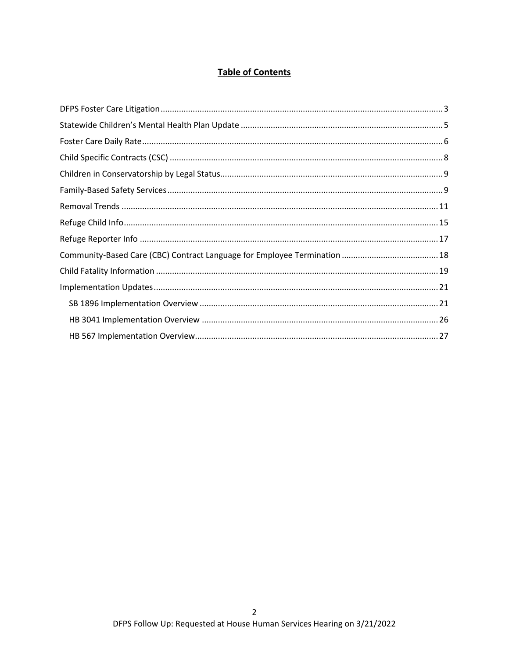# **Table of Contents**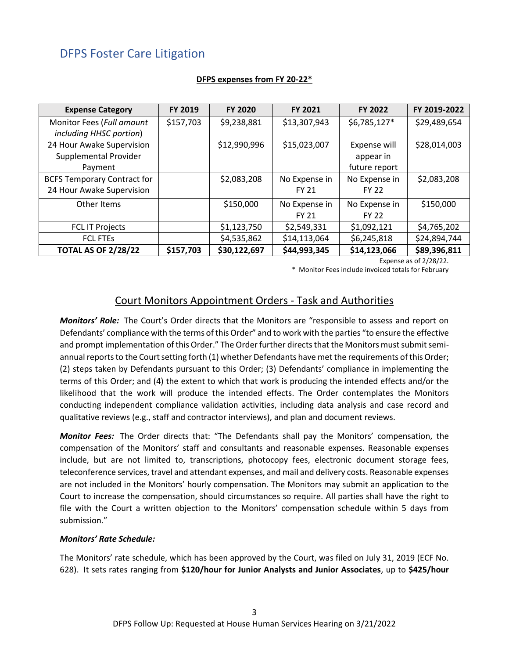# <span id="page-2-0"></span>DFPS Foster Care Litigation

| <b>Expense Category</b>            | <b>FY 2019</b> | <b>FY 2020</b> | <b>FY 2021</b> | <b>FY 2022</b> | FY 2019-2022 |
|------------------------------------|----------------|----------------|----------------|----------------|--------------|
| Monitor Fees (Full amount          | \$157,703      | \$9,238,881    | \$13,307,943   | $$6,785,127*$  | \$29,489,654 |
| including HHSC portion)            |                |                |                |                |              |
| 24 Hour Awake Supervision          |                | \$12,990,996   | \$15,023,007   | Expense will   | \$28,014,003 |
| Supplemental Provider              |                |                |                | appear in      |              |
| Payment                            |                |                |                | future report  |              |
| <b>BCFS Temporary Contract for</b> |                | \$2,083,208    | No Expense in  | No Expense in  | \$2,083,208  |
| 24 Hour Awake Supervision          |                |                | <b>FY 21</b>   | <b>FY 22</b>   |              |
| Other Items                        |                | \$150,000      | No Expense in  | No Expense in  | \$150,000    |
|                                    |                |                | <b>FY 21</b>   | <b>FY 22</b>   |              |
| <b>FCL IT Projects</b>             |                | \$1,123,750    | \$2,549,331    | \$1,092,121    | \$4,765,202  |
| <b>FCL FTES</b>                    |                | \$4,535,862    | \$14,113,064   | \$6,245,818    | \$24,894,744 |
| <b>TOTAL AS OF 2/28/22</b>         | \$157,703      | \$30,122,697   | \$44,993,345   | \$14,123,066   | \$89,396,811 |

#### **DFPS expenses from FY 20-22\***

Expense as of 2/28/22.

\* Monitor Fees include invoiced totals for February

# Court Monitors Appointment Orders - Task and Authorities

*Monitors' Role:* The Court's Order directs that the Monitors are "responsible to assess and report on Defendants' compliance with the terms of this Order" and to work with the parties "to ensure the effective and prompt implementation of this Order." The Order further directs that the Monitors must submit semiannual reports to the Court setting forth (1) whether Defendants have met the requirements of this Order; (2) steps taken by Defendants pursuant to this Order; (3) Defendants' compliance in implementing the terms of this Order; and (4) the extent to which that work is producing the intended effects and/or the likelihood that the work will produce the intended effects. The Order contemplates the Monitors conducting independent compliance validation activities, including data analysis and case record and qualitative reviews (e.g., staff and contractor interviews), and plan and document reviews.

*Monitor Fees:* The Order directs that: "The Defendants shall pay the Monitors' compensation, the compensation of the Monitors' staff and consultants and reasonable expenses. Reasonable expenses include, but are not limited to, transcriptions, photocopy fees, electronic document storage fees, teleconference services, travel and attendant expenses, and mail and delivery costs. Reasonable expenses are not included in the Monitors' hourly compensation. The Monitors may submit an application to the Court to increase the compensation, should circumstances so require. All parties shall have the right to file with the Court a written objection to the Monitors' compensation schedule within 5 days from submission."

#### *Monitors' Rate Schedule:*

The Monitors' rate schedule, which has been approved by the Court, was filed on July 31, 2019 (ECF No. 628). It sets rates ranging from **\$120/hour for Junior Analysts and Junior Associates**, up to **\$425/hour**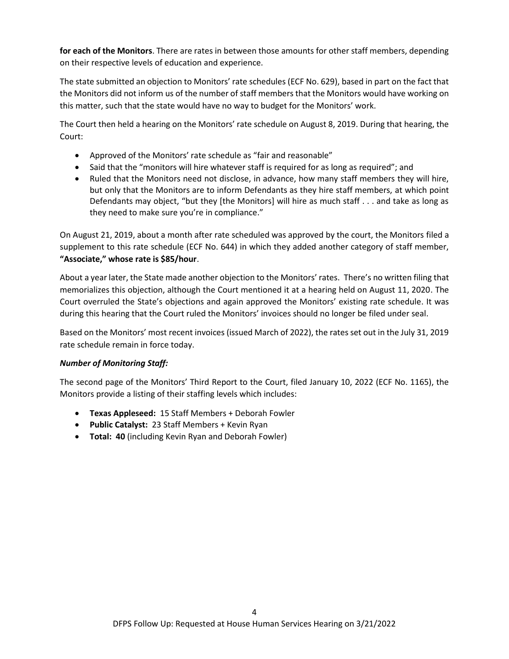**for each of the Monitors**. There are rates in between those amounts for other staff members, depending on their respective levels of education and experience.

The state submitted an objection to Monitors' rate schedules (ECF No. 629), based in part on the fact that the Monitors did not inform us of the number of staff members that the Monitors would have working on this matter, such that the state would have no way to budget for the Monitors' work.

The Court then held a hearing on the Monitors' rate schedule on August 8, 2019. During that hearing, the Court:

- Approved of the Monitors' rate schedule as "fair and reasonable"
- Said that the "monitors will hire whatever staff is required for as long as required"; and
- Ruled that the Monitors need not disclose, in advance, how many staff members they will hire, but only that the Monitors are to inform Defendants as they hire staff members, at which point Defendants may object, "but they [the Monitors] will hire as much staff . . . and take as long as they need to make sure you're in compliance."

On August 21, 2019, about a month after rate scheduled was approved by the court, the Monitors filed a supplement to this rate schedule (ECF No. 644) in which they added another category of staff member, **"Associate," whose rate is \$85/hour**.

About a year later, the State made another objection to the Monitors' rates. There's no written filing that memorializes this objection, although the Court mentioned it at a hearing held on August 11, 2020. The Court overruled the State's objections and again approved the Monitors' existing rate schedule. It was during this hearing that the Court ruled the Monitors' invoices should no longer be filed under seal.

Based on the Monitors' most recent invoices (issued March of 2022), the rates set out in the July 31, 2019 rate schedule remain in force today.

#### *Number of Monitoring Staff:*

The second page of the Monitors' Third Report to the Court, filed January 10, 2022 (ECF No. 1165), the Monitors provide a listing of their staffing levels which includes:

- **Texas Appleseed:** 15 Staff Members + Deborah Fowler
- **Public Catalyst:** 23 Staff Members + Kevin Ryan
- **Total: 40** (including Kevin Ryan and Deborah Fowler)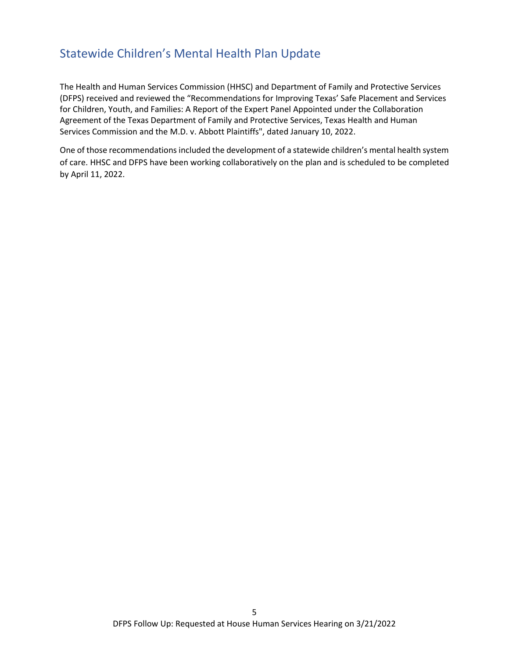# <span id="page-4-0"></span>Statewide Children's Mental Health Plan Update

The Health and Human Services Commission (HHSC) and Department of Family and Protective Services (DFPS) received and reviewed the "Recommendations for Improving Texas' Safe Placement and Services for Children, Youth, and Families: A Report of the Expert Panel Appointed under the Collaboration Agreement of the Texas Department of Family and Protective Services, Texas Health and Human Services Commission and the M.D. v. Abbott Plaintiffs", dated January 10, 2022.

One of those recommendations included the development of a statewide children's mental health system of care. HHSC and DFPS have been working collaboratively on the plan and is scheduled to be completed by April 11, 2022.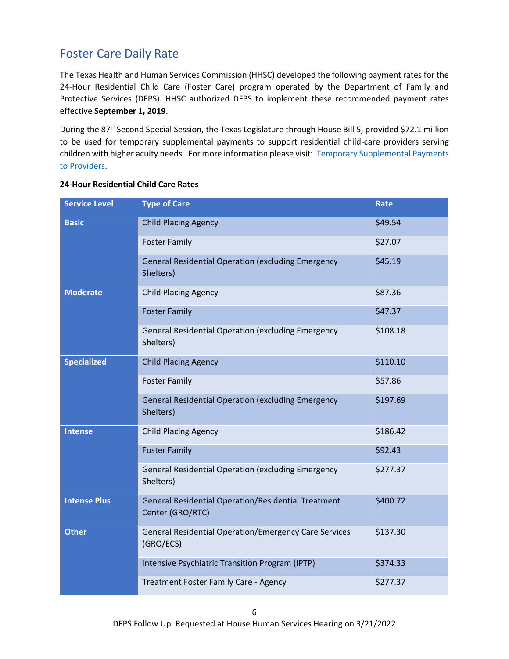# <span id="page-5-0"></span>Foster Care Daily Rate

The Texas Health and Human Services Commission (HHSC) developed the following payment rates for the 24-Hour Residential Child Care (Foster Care) program operated by the Department of Family and Protective Services (DFPS). HHSC authorized DFPS to implement these recommended payment rates effective **September 1, 2019**.

During the 87<sup>th</sup> Second Special Session, the Texas Legislature through House Bill 5, provided \$72.1 million to be used for temporary supplemental payments to support residential child-care providers serving children with higher acuity needs. For more information please visit: [Temporary Supplemental Payments](http://www.dfps.state.tx.us/Doing_Business/Purchased_Client_Services/Residential_Child_Care_Contracts/Rates/supplemental_payments.asp)  [to Providers.](http://www.dfps.state.tx.us/Doing_Business/Purchased_Client_Services/Residential_Child_Care_Contracts/Rates/supplemental_payments.asp)

| <b>Service Level</b> | <b>Type of Care</b>                                                            | <b>Rate</b> |
|----------------------|--------------------------------------------------------------------------------|-------------|
| <b>Basic</b>         | <b>Child Placing Agency</b>                                                    | \$49.54     |
|                      | <b>Foster Family</b>                                                           | \$27.07     |
|                      | <b>General Residential Operation (excluding Emergency</b><br>Shelters)         | \$45.19     |
| <b>Moderate</b>      | <b>Child Placing Agency</b>                                                    | \$87.36     |
|                      | <b>Foster Family</b>                                                           | \$47.37     |
|                      | <b>General Residential Operation (excluding Emergency</b><br>Shelters)         | \$108.18    |
| <b>Specialized</b>   | <b>Child Placing Agency</b>                                                    | \$110.10    |
|                      | <b>Foster Family</b>                                                           | \$57.86     |
|                      | <b>General Residential Operation (excluding Emergency</b><br>Shelters)         | \$197.69    |
| <b>Intense</b>       | <b>Child Placing Agency</b>                                                    | \$186.42    |
|                      | <b>Foster Family</b>                                                           | \$92.43     |
|                      | <b>General Residential Operation (excluding Emergency</b><br>Shelters)         | \$277.37    |
| <b>Intense Plus</b>  | <b>General Residential Operation/Residential Treatment</b><br>Center (GRO/RTC) | \$400.72    |
| <b>Other</b>         | <b>General Residential Operation/Emergency Care Services</b><br>(GRO/ECS)      | \$137.30    |
|                      | Intensive Psychiatric Transition Program (IPTP)                                | \$374.33    |
|                      | Treatment Foster Family Care - Agency                                          | \$277.37    |

#### **24-Hour Residential Child Care Rates**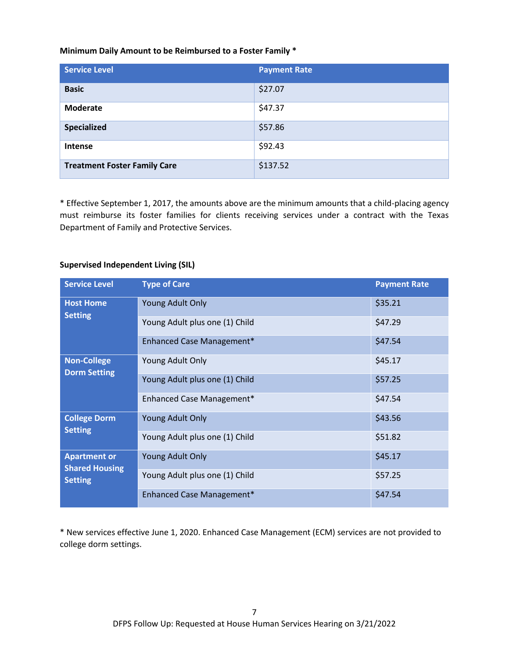#### **Minimum Daily Amount to be Reimbursed to a Foster Family \***

| <b>Service Level</b>                | <b>Payment Rate</b> |
|-------------------------------------|---------------------|
| <b>Basic</b>                        | \$27.07             |
| <b>Moderate</b>                     | \$47.37             |
| <b>Specialized</b>                  | \$57.86             |
| Intense                             | \$92.43             |
| <b>Treatment Foster Family Care</b> | \$137.52            |

\* Effective September 1, 2017, the amounts above are the minimum amounts that a child-placing agency must reimburse its foster families for clients receiving services under a contract with the Texas Department of Family and Protective Services.

#### **Supervised Independent Living (SIL)**

| <b>Service Level</b>                    | <b>Type of Care</b>            | <b>Payment Rate</b> |
|-----------------------------------------|--------------------------------|---------------------|
| <b>Host Home</b><br><b>Setting</b>      | <b>Young Adult Only</b>        | \$35.21             |
|                                         | Young Adult plus one (1) Child | \$47.29             |
|                                         | Enhanced Case Management*      | \$47.54             |
| <b>Non-College</b>                      | Young Adult Only               | \$45.17             |
| <b>Dorm Setting</b>                     | Young Adult plus one (1) Child | \$57.25             |
|                                         | Enhanced Case Management*      | \$47.54             |
| <b>College Dorm</b>                     | <b>Young Adult Only</b>        | \$43.56             |
| <b>Setting</b>                          | Young Adult plus one (1) Child | \$51.82             |
| <b>Apartment or</b>                     | <b>Young Adult Only</b>        | \$45.17             |
| <b>Shared Housing</b><br><b>Setting</b> | Young Adult plus one (1) Child | \$57.25             |
|                                         | Enhanced Case Management*      | \$47.54             |

\* New services effective June 1, 2020. Enhanced Case Management (ECM) services are not provided to college dorm settings.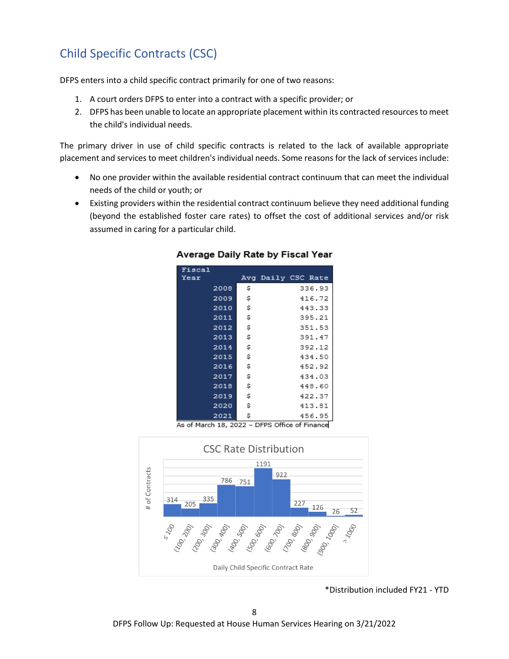# <span id="page-7-0"></span>Child Specific Contracts (CSC)

DFPS enters into a child specific contract primarily for one of two reasons:

- 1. A court orders DFPS to enter into a contract with a specific provider; or
- 2. DFPS has been unable to locate an appropriate placement within its contracted resources to meet the child's individual needs.

The primary driver in use of child specific contracts is related to the lack of available appropriate placement and services to meet children's individual needs. Some reasons for the lack of services include:

- No one provider within the available residential contract continuum that can meet the individual needs of the child or youth; or
- Existing providers within the residential contract continuum believe they need additional funding (beyond the established foster care rates) to offset the cost of additional services and/or risk assumed in caring for a particular child.

| Fiscal |    |                    |
|--------|----|--------------------|
| Year   |    | Avg Daily CSC Rate |
| 2008   | s  | 336.93             |
| 2009   | \$ | 416.72             |
| 2010   | s  | 443.33             |
| 2011   | \$ | 395.21             |
| 2012   | \$ | 351.53             |
| 2013   | \$ | 391.47             |
| 2014   | s  | 392.12             |
| 2015   | \$ | 434.50             |
| 2016   | s  | 452.92             |
| 2017   | s  | 434.03             |
| 2018   | s  | 448.60             |
| 2019   | s  | 422.37             |
| 2020   | s  | 413.81             |
| 2021   | s  | 456.95             |

#### Average Daily Rate by Fiscal Year

As of March 18, 2022 - DFPS Office of Finance



\*Distribution included FY21 - YTD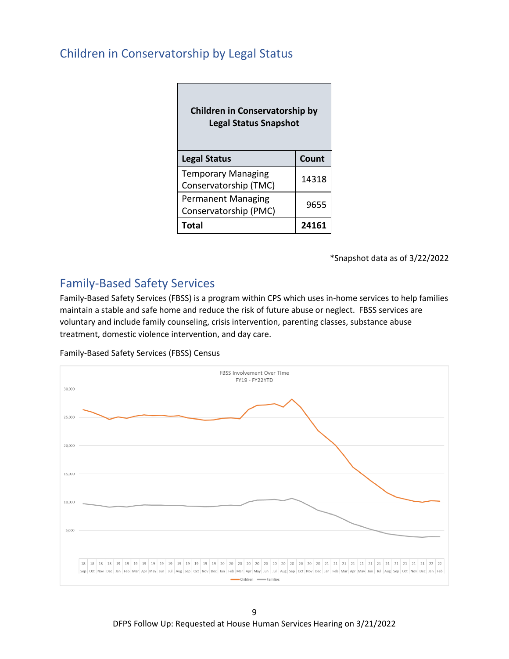# <span id="page-8-0"></span>Children in Conservatorship by Legal Status

| <b>Children in Conservatorship by</b><br><b>Legal Status Snapshot</b> |       |  |
|-----------------------------------------------------------------------|-------|--|
| <b>Legal Status</b>                                                   | Count |  |
| <b>Temporary Managing</b><br>Conservatorship (TMC)                    | 14318 |  |
| <b>Permanent Managing</b><br>Conservatorship (PMC)                    | 9655  |  |
| <b>Total</b>                                                          | 241   |  |

┑

\*Snapshot data as of 3/22/2022

# <span id="page-8-1"></span>Family-Based Safety Services

Family-Based Safety Services (FBSS) is a program within CPS which uses in-home services to help families maintain a stable and safe home and reduce the risk of future abuse or neglect. FBSS services are voluntary and include family counseling, crisis intervention, parenting classes, substance abuse treatment, domestic violence intervention, and day care.

Family-Based Safety Services (FBSS) Census



9 DFPS Follow Up: Requested at House Human Services Hearing on 3/21/2022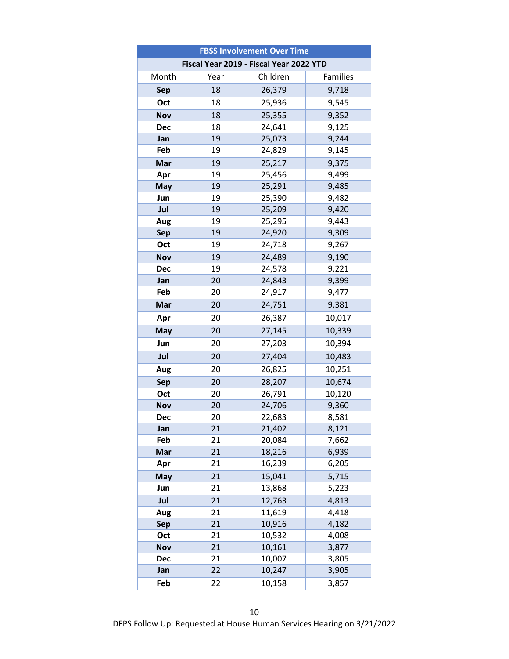| <b>FBSS Involvement Over Time</b> |                                         |          |          |  |  |  |
|-----------------------------------|-----------------------------------------|----------|----------|--|--|--|
|                                   | Fiscal Year 2019 - Fiscal Year 2022 YTD |          |          |  |  |  |
| Month                             | Year                                    | Children | Families |  |  |  |
| <b>Sep</b>                        | 18                                      | 26,379   | 9,718    |  |  |  |
| Oct                               | 18                                      | 25,936   | 9,545    |  |  |  |
| <b>Nov</b>                        | 18                                      | 25,355   | 9,352    |  |  |  |
| <b>Dec</b>                        | 18                                      | 24,641   | 9,125    |  |  |  |
| Jan                               | 19                                      | 25,073   | 9,244    |  |  |  |
| Feb                               | 19                                      | 24,829   | 9,145    |  |  |  |
| Mar                               | 19                                      | 25,217   | 9,375    |  |  |  |
| Apr                               | 19                                      | 25,456   | 9,499    |  |  |  |
| May                               | 19                                      | 25,291   | 9,485    |  |  |  |
| Jun                               | 19                                      | 25,390   | 9,482    |  |  |  |
| Jul                               | 19                                      | 25,209   | 9,420    |  |  |  |
| Aug                               | 19                                      | 25,295   | 9,443    |  |  |  |
| <b>Sep</b>                        | 19                                      | 24,920   | 9,309    |  |  |  |
| Oct                               | 19                                      | 24,718   | 9,267    |  |  |  |
| <b>Nov</b>                        | 19                                      | 24,489   | 9,190    |  |  |  |
| <b>Dec</b>                        | 19                                      | 24,578   | 9,221    |  |  |  |
| Jan                               | 20                                      | 24,843   | 9,399    |  |  |  |
| Feb                               | 20                                      | 24,917   | 9,477    |  |  |  |
| Mar                               | 20                                      | 24,751   | 9,381    |  |  |  |
| Apr                               | 20                                      | 26,387   | 10,017   |  |  |  |
| May                               | 20                                      | 27,145   | 10,339   |  |  |  |
| Jun                               | 20                                      | 27,203   | 10,394   |  |  |  |
| Jul                               | 20                                      | 27,404   | 10,483   |  |  |  |
| Aug                               | 20                                      | 26,825   | 10,251   |  |  |  |
| Sep                               | 20                                      | 28,207   | 10,674   |  |  |  |
| Oct                               | 20                                      | 26,791   | 10,120   |  |  |  |
| Nov                               | 20                                      | 24,706   | 9,360    |  |  |  |
| Dec                               | 20                                      | 22,683   | 8,581    |  |  |  |
| Jan                               | 21                                      | 21,402   | 8,121    |  |  |  |
| Feb                               | 21                                      | 20,084   | 7,662    |  |  |  |
| Mar                               | 21                                      | 18,216   | 6,939    |  |  |  |
| Apr                               | 21                                      | 16,239   | 6,205    |  |  |  |
| May                               | 21                                      | 15,041   | 5,715    |  |  |  |
| Jun                               | 21                                      | 13,868   | 5,223    |  |  |  |
| Jul                               | 21                                      | 12,763   | 4,813    |  |  |  |
| Aug                               | 21                                      | 11,619   | 4,418    |  |  |  |
| <b>Sep</b>                        | 21                                      | 10,916   | 4,182    |  |  |  |
| Oct                               | 21                                      | 10,532   | 4,008    |  |  |  |
| Nov                               | 21                                      | 10,161   | 3,877    |  |  |  |
| <b>Dec</b>                        | 21                                      | 10,007   | 3,805    |  |  |  |
| Jan                               | 22                                      | 10,247   | 3,905    |  |  |  |
| Feb                               | 22                                      | 10,158   | 3,857    |  |  |  |

DFPS Follow Up: Requested at House Human Services Hearing on 3/21/2022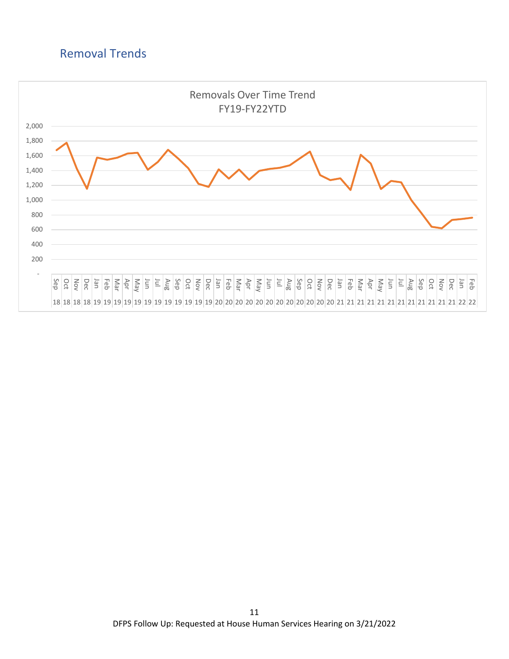# <span id="page-10-0"></span>Removal Trends

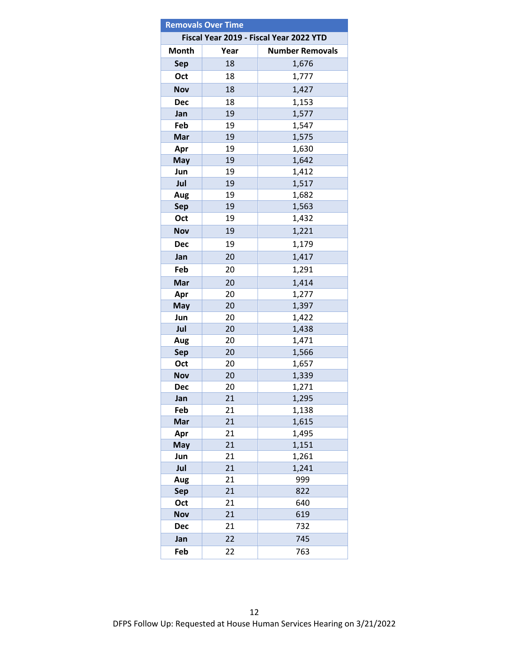| <b>Removals Over Time</b>               |          |                        |  |  |
|-----------------------------------------|----------|------------------------|--|--|
| Fiscal Year 2019 - Fiscal Year 2022 YTD |          |                        |  |  |
| <b>Month</b>                            | Year     | <b>Number Removals</b> |  |  |
| <b>Sep</b>                              | 18       | 1,676                  |  |  |
| Oct                                     | 18       | 1,777                  |  |  |
| <b>Nov</b>                              | 18       | 1,427                  |  |  |
| <b>Dec</b>                              | 18       | 1,153                  |  |  |
| Jan                                     | 19       | 1,577                  |  |  |
| Feb                                     | 19       | 1,547                  |  |  |
| Mar                                     | 19       | 1,575                  |  |  |
| Apr                                     | 19       | 1,630                  |  |  |
| May                                     | 19       | 1,642                  |  |  |
| Jun                                     | 19       | 1,412                  |  |  |
| Jul                                     | 19       | 1,517                  |  |  |
| Aug                                     | 19       | 1,682                  |  |  |
| Sep                                     | 19       | 1,563                  |  |  |
| Oct                                     | 19       | 1,432                  |  |  |
| <b>Nov</b>                              | 19       | 1,221                  |  |  |
| <b>Dec</b>                              | 19       | 1,179                  |  |  |
| Jan                                     | 20       | 1,417                  |  |  |
| Feb                                     | 20       | 1,291                  |  |  |
| Mar                                     | 20       | 1,414                  |  |  |
| Apr                                     | 20       | 1,277                  |  |  |
| May                                     | 20       | 1,397                  |  |  |
| Jun                                     | 20       | 1,422                  |  |  |
| Jul                                     | 20       | 1,438                  |  |  |
| Aug                                     | 20       | 1,471                  |  |  |
| <b>Sep</b>                              | 20       | 1,566                  |  |  |
| Oct                                     | 20       | 1,657                  |  |  |
| <b>Nov</b>                              | 20       | 1,339                  |  |  |
| <b>Dec</b>                              | 20       | 1,271                  |  |  |
| Jan                                     | 21       | 1,295                  |  |  |
| Feb                                     | 21       | 1,138                  |  |  |
| Mar                                     | 21       | 1,615                  |  |  |
| Apr                                     | 21       | 1,495                  |  |  |
| <b>May</b>                              | 21       | 1,151                  |  |  |
| Jun                                     | 21       | 1,261                  |  |  |
| Jul                                     | 21       | 1,241                  |  |  |
| Aug                                     | 21       | 999                    |  |  |
| <b>Sep</b>                              | 21       | 822                    |  |  |
| Oct                                     | 21<br>21 | 640<br>619             |  |  |
| <b>Nov</b><br><b>Dec</b>                | 21       | 732                    |  |  |
|                                         |          |                        |  |  |
| Jan                                     | 22       | 745                    |  |  |
| Feb                                     | 22       | 763                    |  |  |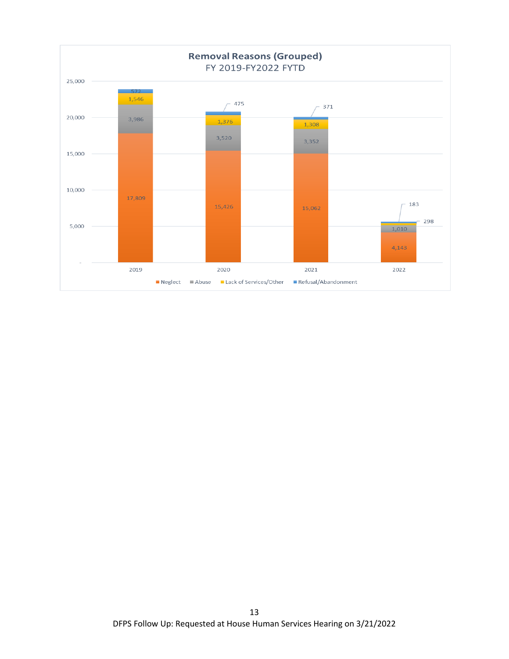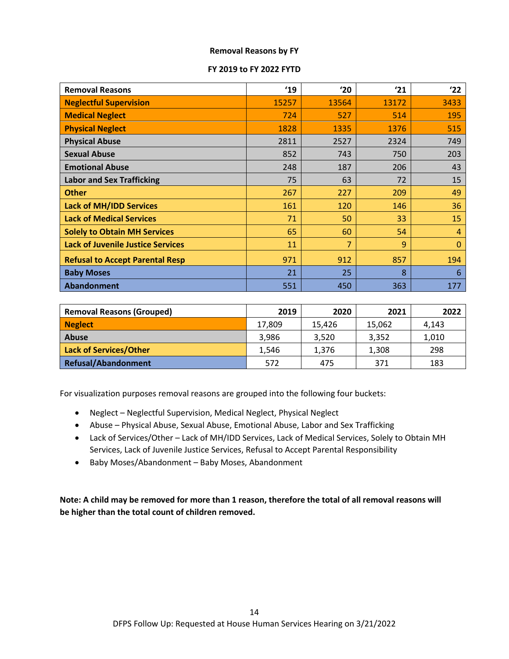#### **Removal Reasons by FY**

#### **FY 2019 to FY 2022 FYTD**

| <b>Removal Reasons</b>                   | 19    | '20   | '21   | 22           |
|------------------------------------------|-------|-------|-------|--------------|
| <b>Neglectful Supervision</b>            | 15257 | 13564 | 13172 | 3433         |
| <b>Medical Neglect</b>                   | 724   | 527   | 514   | 195          |
| <b>Physical Neglect</b>                  | 1828  | 1335  | 1376  | 515          |
| <b>Physical Abuse</b>                    | 2811  | 2527  | 2324  | 749          |
| <b>Sexual Abuse</b>                      | 852   | 743   | 750   | 203          |
| <b>Emotional Abuse</b>                   | 248   | 187   | 206   | 43           |
| <b>Labor and Sex Trafficking</b>         | 75    | 63    | 72    | 15           |
| <b>Other</b>                             | 267   | 227   | 209   | 49           |
| <b>Lack of MH/IDD Services</b>           | 161   | 120   | 146   | 36           |
| <b>Lack of Medical Services</b>          | 71    | 50    | 33    | 15           |
| <b>Solely to Obtain MH Services</b>      | 65    | 60    | 54    | 4            |
| <b>Lack of Juvenile Justice Services</b> | 11    | 7     | 9     | $\mathbf{0}$ |
| <b>Refusal to Accept Parental Resp</b>   | 971   | 912   | 857   | 194          |
| <b>Baby Moses</b>                        | 21    | 25    | 8     | 6            |
| Abandonment                              | 551   | 450   | 363   | 177          |

| <b>Removal Reasons (Grouped)</b> | 2019   | 2020   | 2021   | 2022  |
|----------------------------------|--------|--------|--------|-------|
| <b>Neglect</b>                   | 17,809 | 15.426 | 15,062 | 4,143 |
| Abuse                            | 3,986  | 3.520  | 3.352  | 1,010 |
| Lack of Services/Other           | 1.546  | 1.376  | 1,308  | 298   |
| Refusal/Abandonment              | 572    | 475    | 371    | 183   |

For visualization purposes removal reasons are grouped into the following four buckets:

- Neglect Neglectful Supervision, Medical Neglect, Physical Neglect
- Abuse Physical Abuse, Sexual Abuse, Emotional Abuse, Labor and Sex Trafficking
- Lack of Services/Other Lack of MH/IDD Services, Lack of Medical Services, Solely to Obtain MH Services, Lack of Juvenile Justice Services, Refusal to Accept Parental Responsibility
- Baby Moses/Abandonment Baby Moses, Abandonment

**Note: A child may be removed for more than 1 reason, therefore the total of all removal reasons will be higher than the total count of children removed.**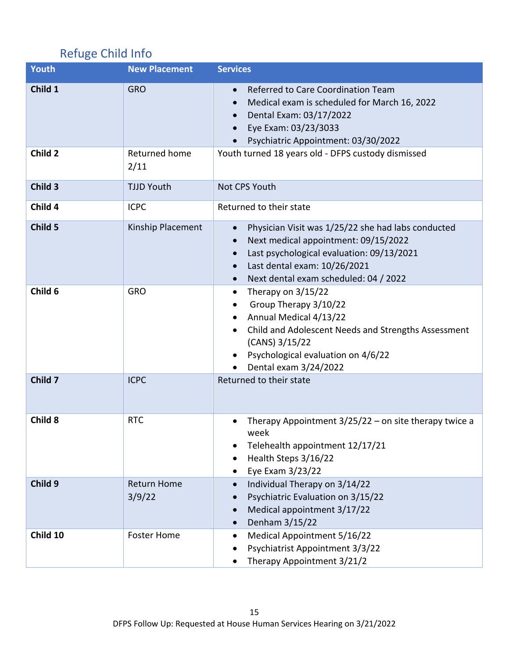# <span id="page-14-0"></span>Refuge Child Info

| <b>Youth</b> | <b>New Placement</b>         | <b>Services</b>                                                                                                                                                                                                               |
|--------------|------------------------------|-------------------------------------------------------------------------------------------------------------------------------------------------------------------------------------------------------------------------------|
| Child 1      | <b>GRO</b>                   | Referred to Care Coordination Team<br>$\bullet$<br>Medical exam is scheduled for March 16, 2022<br>Dental Exam: 03/17/2022<br>Eye Exam: 03/23/3033<br>Psychiatric Appointment: 03/30/2022                                     |
| Child 2      | Returned home<br>2/11        | Youth turned 18 years old - DFPS custody dismissed                                                                                                                                                                            |
| Child 3      | <b>TJJD Youth</b>            | Not CPS Youth                                                                                                                                                                                                                 |
| Child 4      | <b>ICPC</b>                  | Returned to their state                                                                                                                                                                                                       |
| Child 5      | Kinship Placement            | Physician Visit was 1/25/22 she had labs conducted<br>$\bullet$<br>Next medical appointment: 09/15/2022<br>Last psychological evaluation: 09/13/2021<br>Last dental exam: 10/26/2021<br>Next dental exam scheduled: 04 / 2022 |
| Child 6      | <b>GRO</b>                   | Therapy on $3/15/22$<br>٠<br>Group Therapy 3/10/22<br>Annual Medical 4/13/22<br>Child and Adolescent Needs and Strengths Assessment<br>(CANS) 3/15/22<br>Psychological evaluation on 4/6/22<br>Dental exam 3/24/2022          |
| Child 7      | <b>ICPC</b>                  | Returned to their state                                                                                                                                                                                                       |
| Child 8      | <b>RTC</b>                   | Therapy Appointment $3/25/22$ – on site therapy twice a<br>week<br>Telehealth appointment 12/17/21<br>Health Steps 3/16/22<br>Eye Exam 3/23/22                                                                                |
| Child 9      | <b>Return Home</b><br>3/9/22 | Individual Therapy on 3/14/22<br>Psychiatric Evaluation on 3/15/22<br>Medical appointment 3/17/22<br>Denham 3/15/22                                                                                                           |
| Child 10     | <b>Foster Home</b>           | Medical Appointment 5/16/22<br>٠<br>Psychiatrist Appointment 3/3/22<br>Therapy Appointment 3/21/2                                                                                                                             |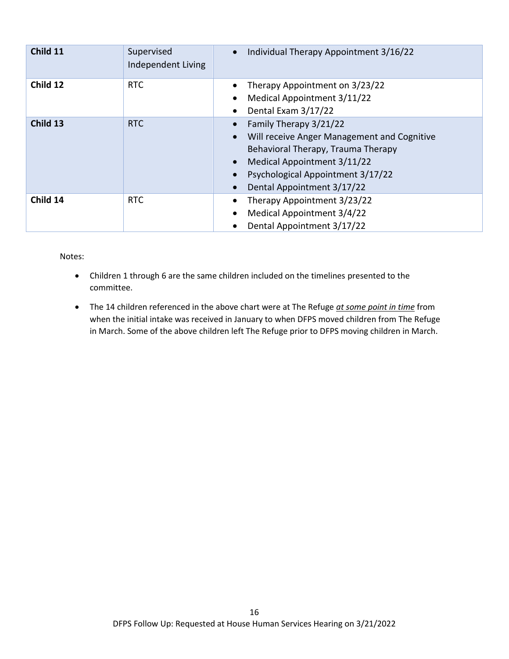| Child 11 | Supervised<br>Independent Living | Individual Therapy Appointment 3/16/22                                                                                                                                                                        |
|----------|----------------------------------|---------------------------------------------------------------------------------------------------------------------------------------------------------------------------------------------------------------|
| Child 12 | <b>RTC</b>                       | Therapy Appointment on 3/23/22<br>Medical Appointment 3/11/22<br>$\bullet$<br>Dental Exam 3/17/22                                                                                                             |
| Child 13 | RTC                              | Family Therapy 3/21/22<br>Will receive Anger Management and Cognitive<br>Behavioral Therapy, Trauma Therapy<br>Medical Appointment 3/11/22<br>Psychological Appointment 3/17/22<br>Dental Appointment 3/17/22 |
| Child 14 | <b>RTC</b>                       | Therapy Appointment 3/23/22<br>Medical Appointment 3/4/22<br>٠<br>Dental Appointment 3/17/22                                                                                                                  |

Notes:

- Children 1 through 6 are the same children included on the timelines presented to the committee.
- The 14 children referenced in the above chart were at The Refuge *at some point in time* from when the initial intake was received in January to when DFPS moved children from The Refuge in March. Some of the above children left The Refuge prior to DFPS moving children in March.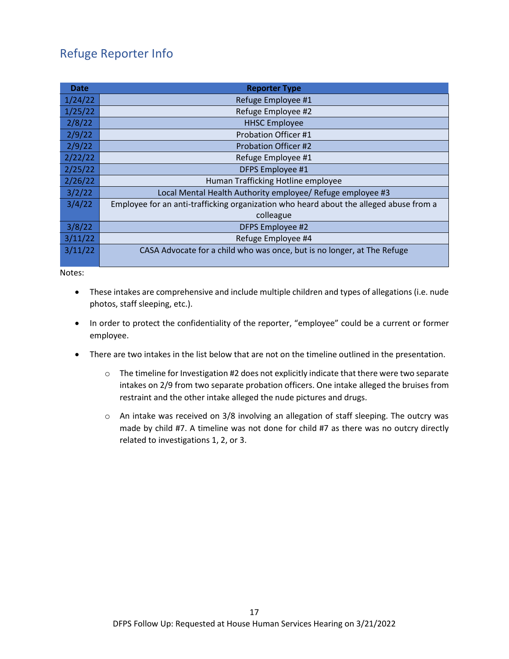# <span id="page-16-0"></span>Refuge Reporter Info

| <b>Date</b> | <b>Reporter Type</b>                                                                   |  |  |  |  |  |
|-------------|----------------------------------------------------------------------------------------|--|--|--|--|--|
| 1/24/22     | Refuge Employee #1                                                                     |  |  |  |  |  |
| 1/25/22     | Refuge Employee #2                                                                     |  |  |  |  |  |
| 2/8/22      | <b>HHSC Employee</b>                                                                   |  |  |  |  |  |
| 2/9/22      | <b>Probation Officer #1</b>                                                            |  |  |  |  |  |
| 2/9/22      | <b>Probation Officer #2</b>                                                            |  |  |  |  |  |
| 2/22/22     | Refuge Employee #1                                                                     |  |  |  |  |  |
| 2/25/22     | DFPS Employee #1                                                                       |  |  |  |  |  |
| 2/26/22     | Human Trafficking Hotline employee                                                     |  |  |  |  |  |
| 3/2/22      | Local Mental Health Authority employee/ Refuge employee #3                             |  |  |  |  |  |
| 3/4/22      | Employee for an anti-trafficking organization who heard about the alleged abuse from a |  |  |  |  |  |
|             | colleague                                                                              |  |  |  |  |  |
| 3/8/22      | DFPS Employee #2                                                                       |  |  |  |  |  |
| 3/11/22     | Refuge Employee #4                                                                     |  |  |  |  |  |
| 3/11/22     | CASA Advocate for a child who was once, but is no longer, at The Refuge                |  |  |  |  |  |

Notes:

- These intakes are comprehensive and include multiple children and types of allegations (i.e. nude photos, staff sleeping, etc.).
- In order to protect the confidentiality of the reporter, "employee" could be a current or former employee.
- There are two intakes in the list below that are not on the timeline outlined in the presentation.
	- $\circ$  The timeline for Investigation #2 does not explicitly indicate that there were two separate intakes on 2/9 from two separate probation officers. One intake alleged the bruises from restraint and the other intake alleged the nude pictures and drugs.
	- o An intake was received on 3/8 involving an allegation of staff sleeping. The outcry was made by child #7. A timeline was not done for child #7 as there was no outcry directly related to investigations 1, 2, or 3.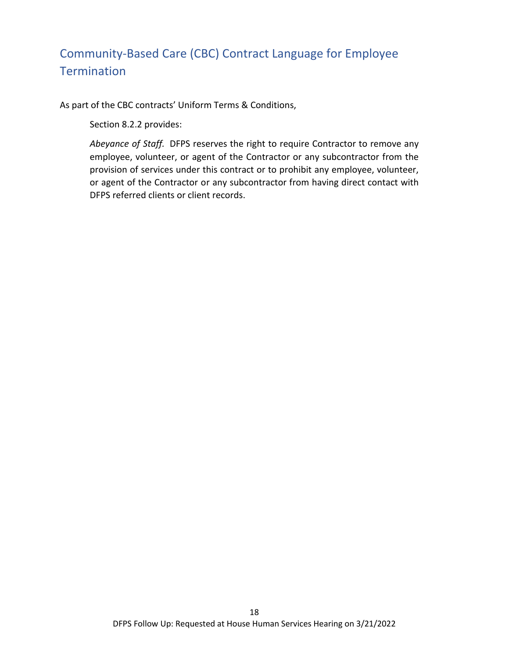# <span id="page-17-0"></span>Community-Based Care (CBC) Contract Language for Employee **Termination**

As part of the CBC contracts' Uniform Terms & Conditions,

Section 8.2.2 provides:

*Abeyance of Staff.* DFPS reserves the right to require Contractor to remove any employee, volunteer, or agent of the Contractor or any subcontractor from the provision of services under this contract or to prohibit any employee, volunteer, or agent of the Contractor or any subcontractor from having direct contact with DFPS referred clients or client records.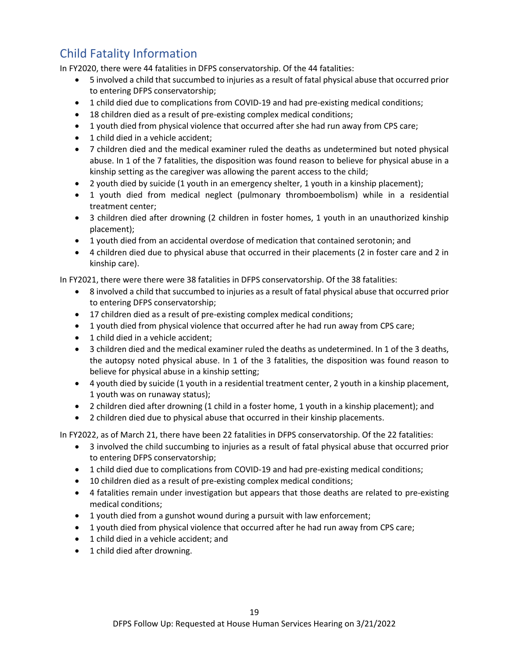# <span id="page-18-0"></span>Child Fatality Information

In FY2020, there were 44 fatalities in DFPS conservatorship. Of the 44 fatalities:

- 5 involved a child that succumbed to injuries as a result of fatal physical abuse that occurred prior to entering DFPS conservatorship;
- 1 child died due to complications from COVID-19 and had pre-existing medical conditions;
- 18 children died as a result of pre-existing complex medical conditions;
- 1 youth died from physical violence that occurred after she had run away from CPS care;
- 1 child died in a vehicle accident;
- 7 children died and the medical examiner ruled the deaths as undetermined but noted physical abuse. In 1 of the 7 fatalities, the disposition was found reason to believe for physical abuse in a kinship setting as the caregiver was allowing the parent access to the child;
- 2 youth died by suicide (1 youth in an emergency shelter, 1 youth in a kinship placement);
- 1 youth died from medical neglect (pulmonary thromboembolism) while in a residential treatment center;
- 3 children died after drowning (2 children in foster homes, 1 youth in an unauthorized kinship placement);
- 1 youth died from an accidental overdose of medication that contained serotonin; and
- 4 children died due to physical abuse that occurred in their placements (2 in foster care and 2 in kinship care).

In FY2021, there were there were 38 fatalities in DFPS conservatorship. Of the 38 fatalities:

- 8 involved a child that succumbed to injuries as a result of fatal physical abuse that occurred prior to entering DFPS conservatorship;
- 17 children died as a result of pre-existing complex medical conditions;
- 1 youth died from physical violence that occurred after he had run away from CPS care;
- 1 child died in a vehicle accident;
- 3 children died and the medical examiner ruled the deaths as undetermined. In 1 of the 3 deaths, the autopsy noted physical abuse. In 1 of the 3 fatalities, the disposition was found reason to believe for physical abuse in a kinship setting;
- 4 youth died by suicide (1 youth in a residential treatment center, 2 youth in a kinship placement, 1 youth was on runaway status);
- 2 children died after drowning (1 child in a foster home, 1 youth in a kinship placement); and
- 2 children died due to physical abuse that occurred in their kinship placements.

In FY2022, as of March 21, there have been 22 fatalities in DFPS conservatorship. Of the 22 fatalities:

- 3 involved the child succumbing to injuries as a result of fatal physical abuse that occurred prior to entering DFPS conservatorship;
- 1 child died due to complications from COVID-19 and had pre-existing medical conditions;
- 10 children died as a result of pre-existing complex medical conditions;
- 4 fatalities remain under investigation but appears that those deaths are related to pre-existing medical conditions;
- 1 youth died from a gunshot wound during a pursuit with law enforcement;
- 1 youth died from physical violence that occurred after he had run away from CPS care;
- 1 child died in a vehicle accident; and
- 1 child died after drowning.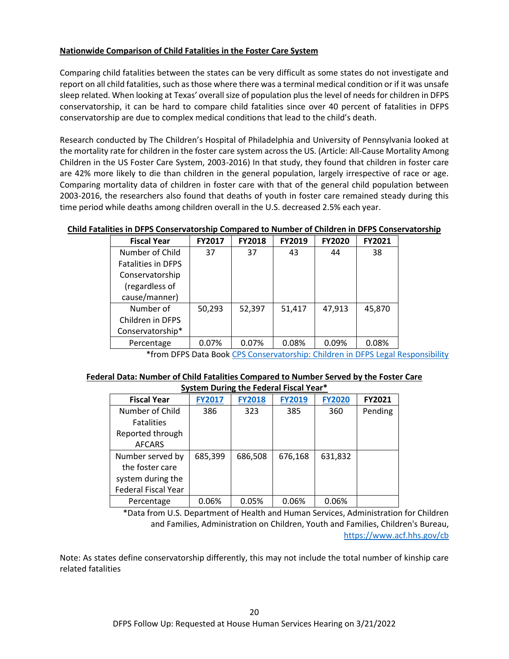## **Nationwide Comparison of Child Fatalities in the Foster Care System**

Comparing child fatalities between the states can be very difficult as some states do not investigate and report on all child fatalities, such as those where there was a terminal medical condition or if it was unsafe sleep related. When looking at Texas' overall size of population plus the level of needs for children in DFPS conservatorship, it can be hard to compare child fatalities since over 40 percent of fatalities in DFPS conservatorship are due to complex medical conditions that lead to the child's death.

Research conducted by The Children's Hospital of Philadelphia and University of Pennsylvania looked at the mortality rate for children in the foster care system across the US. (Article[: All-Cause Mortality Among](https://jamanetwork.com/journals/jamapediatrics/fullarticle/2764570)  [Children in the US Foster Care System, 2003-2016\)](https://jamanetwork.com/journals/jamapediatrics/fullarticle/2764570) In that study, they found that children in foster care are 42% more likely to die than children in the general population, largely irrespective of race or age. Comparing mortality data of children in foster care with that of the general child population between 2003-2016, the researchers also found that deaths of youth in foster care remained steady during this time period while deaths among children overall in the U.S. decreased 2.5% each year.

#### **Child Fatalities in DFPS Conservatorship Compared to Number of Children in DFPS Conservatorship**

| <b>Fiscal Year</b>        | FY2017 | <b>FY2018</b> | <b>FY2019</b> | <b>FY2020</b> | FY2021 |
|---------------------------|--------|---------------|---------------|---------------|--------|
| Number of Child           | 37     | 37            | 43            | 44            | 38     |
| <b>Fatalities in DFPS</b> |        |               |               |               |        |
| Conservatorship           |        |               |               |               |        |
| (regardless of            |        |               |               |               |        |
| cause/manner)             |        |               |               |               |        |
| Number of                 | 50,293 | 52,397        | 51,417        | 47,913        | 45,870 |
| Children in DFPS          |        |               |               |               |        |
| Conservatorship*          |        |               |               |               |        |
| Percentage                | 0.07%  | 0.07%         | 0.08%         | 0.09%         | 0.08%  |

\*from DFPS Data Book [CPS Conservatorship: Children in DFPS Legal Responsibility](https://www.dfps.state.tx.us/About_DFPS/Data_Book/Child_Protective_Services/Conservatorship/Children_in_Conservatorship.asp)

#### **Federal Data: Number of Child Fatalities Compared to Number Served by the Foster Care System During the Federal Fiscal Year\***

| <b>Fiscal Year</b>         | <b>FY2017</b> | <b>FY2018</b> | <b>FY2019</b> | <b>FY2020</b> | FY2021  |  |  |  |  |
|----------------------------|---------------|---------------|---------------|---------------|---------|--|--|--|--|
| Number of Child            | 386           | 323           | 385           | 360           | Pending |  |  |  |  |
| <b>Fatalities</b>          |               |               |               |               |         |  |  |  |  |
| Reported through           |               |               |               |               |         |  |  |  |  |
| <b>AFCARS</b>              |               |               |               |               |         |  |  |  |  |
| Number served by           | 685,399       | 686,508       | 676,168       | 631,832       |         |  |  |  |  |
| the foster care            |               |               |               |               |         |  |  |  |  |
| system during the          |               |               |               |               |         |  |  |  |  |
| <b>Federal Fiscal Year</b> |               |               |               |               |         |  |  |  |  |
| Percentage                 | 0.06%         | 0.05%         | 0.06%         | 0.06%         |         |  |  |  |  |

\*Data from U.S. Department of Health and Human Services, Administration for Children and Families, Administration on Children, Youth and Families, Children's Bureau, <https://www.acf.hhs.gov/cb>

Note: As states define conservatorship differently, this may not include the total number of kinship care related fatalities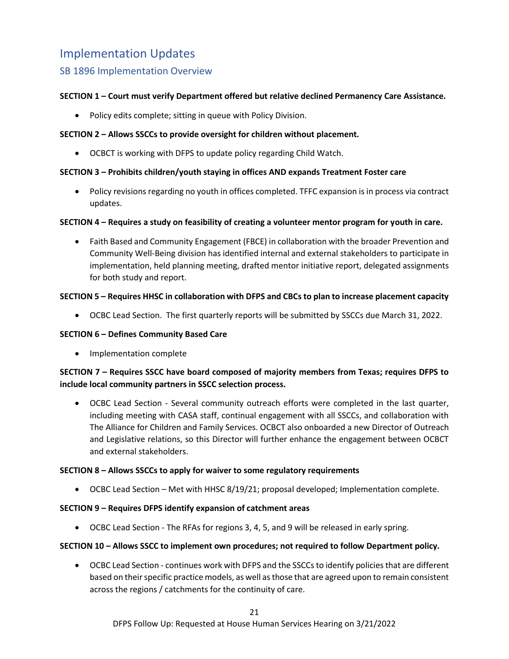# <span id="page-20-0"></span>Implementation Updates

# <span id="page-20-1"></span>SB 1896 Implementation Overview

## **SECTION 1 – Court must verify Department offered but relative declined Permanency Care Assistance.**

• Policy edits complete; sitting in queue with Policy Division.

### **SECTION 2 – Allows SSCCs to provide oversight for children without placement.**

• OCBCT is working with DFPS to update policy regarding Child Watch.

#### **SECTION 3 – Prohibits children/youth staying in offices AND expands Treatment Foster care**

• Policy revisions regarding no youth in offices completed. TFFC expansion is in process via contract updates.

#### **SECTION 4 – Requires a study on feasibility of creating a volunteer mentor program for youth in care.**

• Faith Based and Community Engagement (FBCE) in collaboration with the broader Prevention and Community Well-Being division has identified internal and external stakeholders to participate in implementation, held planning meeting, drafted mentor initiative report, delegated assignments for both study and report.

#### **SECTION 5 – Requires HHSC in collaboration with DFPS and CBCs to plan to increase placement capacity**

• OCBC Lead Section. The first quarterly reports will be submitted by SSCCs due March 31, 2022.

#### **SECTION 6 – Defines Community Based Care**

• Implementation complete

## **SECTION 7 – Requires SSCC have board composed of majority members from Texas; requires DFPS to include local community partners in SSCC selection process.**

• OCBC Lead Section - Several community outreach efforts were completed in the last quarter, including meeting with CASA staff, continual engagement with all SSCCs, and collaboration with The Alliance for Children and Family Services. OCBCT also onboarded a new Director of Outreach and Legislative relations, so this Director will further enhance the engagement between OCBCT and external stakeholders.

#### **SECTION 8 – Allows SSCCs to apply for waiver to some regulatory requirements**

• OCBC Lead Section – Met with HHSC 8/19/21; proposal developed; Implementation complete.

#### **SECTION 9 – Requires DFPS identify expansion of catchment areas**

• OCBC Lead Section - The RFAs for regions 3, 4, 5, and 9 will be released in early spring.

#### **SECTION 10 – Allows SSCC to implement own procedures; not required to follow Department policy.**

• OCBC Lead Section - continues work with DFPS and the SSCCs to identify policies that are different based on their specific practice models, as well as those that are agreed upon to remain consistent across the regions / catchments for the continuity of care.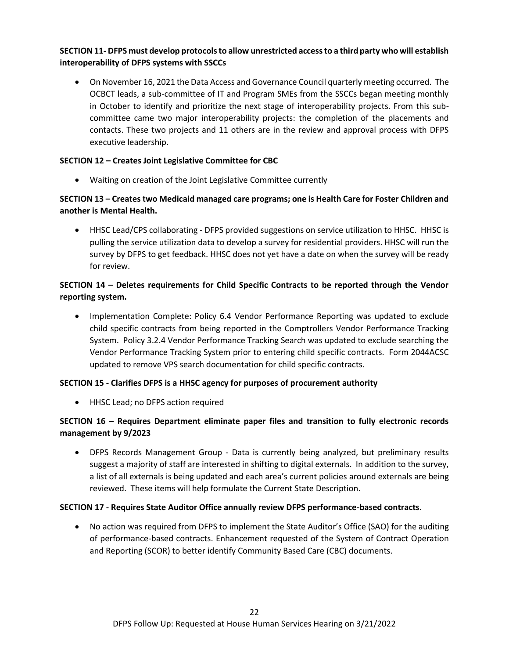# **SECTION 11- DFPS must develop protocols to allow unrestricted access to a third party who will establish interoperability of DFPS systems with SSCCs**

• On November 16, 2021 the Data Access and Governance Council quarterly meeting occurred. The OCBCT leads, a sub-committee of IT and Program SMEs from the SSCCs began meeting monthly in October to identify and prioritize the next stage of interoperability projects. From this subcommittee came two major interoperability projects: the completion of the placements and contacts. These two projects and 11 others are in the review and approval process with DFPS executive leadership.

#### **SECTION 12 – Creates Joint Legislative Committee for CBC**

• Waiting on creation of the Joint Legislative Committee currently

# **SECTION 13 – Creates two Medicaid managed care programs; one is Health Care for Foster Children and another is Mental Health.**

• HHSC Lead/CPS collaborating - DFPS provided suggestions on service utilization to HHSC. HHSC is pulling the service utilization data to develop a survey for residential providers. HHSC will run the survey by DFPS to get feedback. HHSC does not yet have a date on when the survey will be ready for review.

# **SECTION 14 – Deletes requirements for Child Specific Contracts to be reported through the Vendor reporting system.**

• Implementation Complete: Policy 6.4 Vendor Performance Reporting was updated to exclude child specific contracts from being reported in the Comptrollers Vendor Performance Tracking System. Policy 3.2.4 Vendor Performance Tracking Search was updated to exclude searching the Vendor Performance Tracking System prior to entering child specific contracts. Form 2044ACSC updated to remove VPS search documentation for child specific contracts.

## **SECTION 15 - Clarifies DFPS is a HHSC agency for purposes of procurement authority**

• HHSC Lead; no DFPS action required

## **SECTION 16 – Requires Department eliminate paper files and transition to fully electronic records management by 9/2023**

• DFPS Records Management Group - Data is currently being analyzed, but preliminary results suggest a majority of staff are interested in shifting to digital externals. In addition to the survey, a list of all externals is being updated and each area's current policies around externals are being reviewed. These items will help formulate the Current State Description.

#### **SECTION 17 - Requires State Auditor Office annually review DFPS performance-based contracts.**

• No action was required from DFPS to implement the State Auditor's Office (SAO) for the auditing of performance-based contracts. Enhancement requested of the System of Contract Operation and Reporting (SCOR) to better identify Community Based Care (CBC) documents.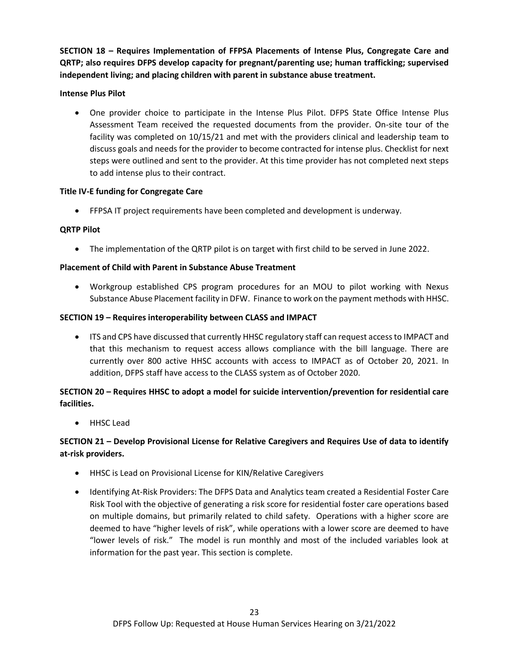**SECTION 18 – Requires Implementation of FFPSA Placements of Intense Plus, Congregate Care and QRTP; also requires DFPS develop capacity for pregnant/parenting use; human trafficking; supervised independent living; and placing children with parent in substance abuse treatment.**

#### **Intense Plus Pilot**

• One provider choice to participate in the Intense Plus Pilot. DFPS State Office Intense Plus Assessment Team received the requested documents from the provider. On-site tour of the facility was completed on 10/15/21 and met with the providers clinical and leadership team to discuss goals and needs for the provider to become contracted for intense plus. Checklist for next steps were outlined and sent to the provider. At this time provider has not completed next steps to add intense plus to their contract.

#### **Title IV-E funding for Congregate Care**

• FFPSA IT project requirements have been completed and development is underway.

## **QRTP Pilot**

• The implementation of the QRTP pilot is on target with first child to be served in June 2022.

## **Placement of Child with Parent in Substance Abuse Treatment**

• Workgroup established CPS program procedures for an MOU to pilot working with Nexus Substance Abuse Placement facility in DFW. Finance to work on the payment methods with HHSC.

#### **SECTION 19 – Requires interoperability between CLASS and IMPACT**

• ITS and CPS have discussed that currently HHSC regulatory staff can request access to IMPACT and that this mechanism to request access allows compliance with the bill language. There are currently over 800 active HHSC accounts with access to IMPACT as of October 20, 2021. In addition, DFPS staff have access to the CLASS system as of October 2020.

# **SECTION 20 – Requires HHSC to adopt a model for suicide intervention/prevention for residential care facilities.**

• HHSC Lead

# **SECTION 21 – Develop Provisional License for Relative Caregivers and Requires Use of data to identify at-risk providers.**

- HHSC is Lead on Provisional License for KIN/Relative Caregivers
- Identifying At-Risk Providers: The DFPS Data and Analytics team created a Residential Foster Care Risk Tool with the objective of generating a risk score for residential foster care operations based on multiple domains, but primarily related to child safety. Operations with a higher score are deemed to have "higher levels of risk", while operations with a lower score are deemed to have "lower levels of risk." The model is run monthly and most of the included variables look at information for the past year. This section is complete.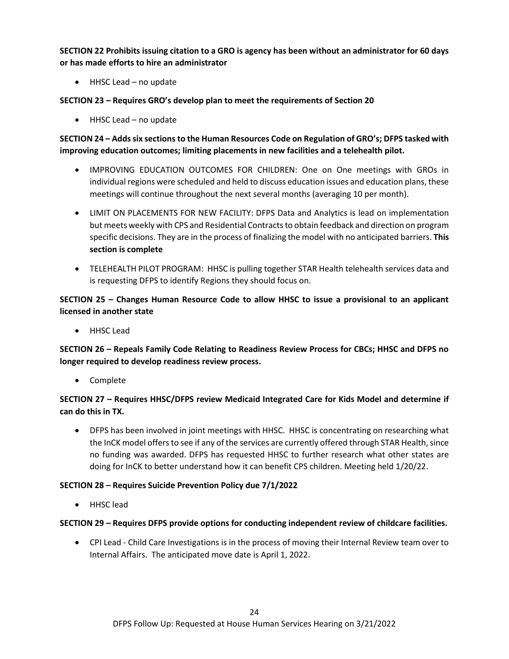**SECTION 22 Prohibits issuing citation to a GRO is agency has been without an administrator for 60 days or has made efforts to hire an administrator**

• HHSC Lead – no update

**SECTION 23 – Requires GRO's develop plan to meet the requirements of Section 20**

• HHSC Lead – no update

# **SECTION 24 – Adds six sections to the Human Resources Code on Regulation of GRO's; DFPS tasked with improving education outcomes; limiting placements in new facilities and a telehealth pilot.**

- IMPROVING EDUCATION OUTCOMES FOR CHILDREN: One on One meetings with GROs in individual regions were scheduled and held to discuss education issues and education plans, these meetings will continue throughout the next several months (averaging 10 per month).
- LIMIT ON PLACEMENTS FOR NEW FACILITY: DFPS Data and Analytics is lead on implementation but meets weekly with CPS and Residential Contracts to obtain feedback and direction on program specific decisions. They are in the process of finalizing the model with no anticipated barriers. **This section is complete**
- TELEHEALTH PILOT PROGRAM: HHSC is pulling together STAR Health telehealth services data and is requesting DFPS to identify Regions they should focus on.

# **SECTION 25 – Changes Human Resource Code to allow HHSC to issue a provisional to an applicant licensed in another state**

• HHSC Lead

**SECTION 26 – Repeals Family Code Relating to Readiness Review Process for CBCs; HHSC and DFPS no longer required to develop readiness review process.** 

• Complete

# **SECTION 27 – Requires HHSC/DFPS review Medicaid Integrated Care for Kids Model and determine if can do this in TX.**

• DFPS has been involved in joint meetings with HHSC. HHSC is concentrating on researching what the InCK model offers to see if any of the services are currently offered through STAR Health, since no funding was awarded. DFPS has requested HHSC to further research what other states are doing for InCK to better understand how it can benefit CPS children. Meeting held 1/20/22.

## **SECTION 28 – Requires Suicide Prevention Policy due 7/1/2022**

• HHSC lead

#### **SECTION 29 – Requires DFPS provide options for conducting independent review of childcare facilities.**

• CPI Lead - Child Care Investigations is in the process of moving their Internal Review team over to Internal Affairs. The anticipated move date is April 1, 2022.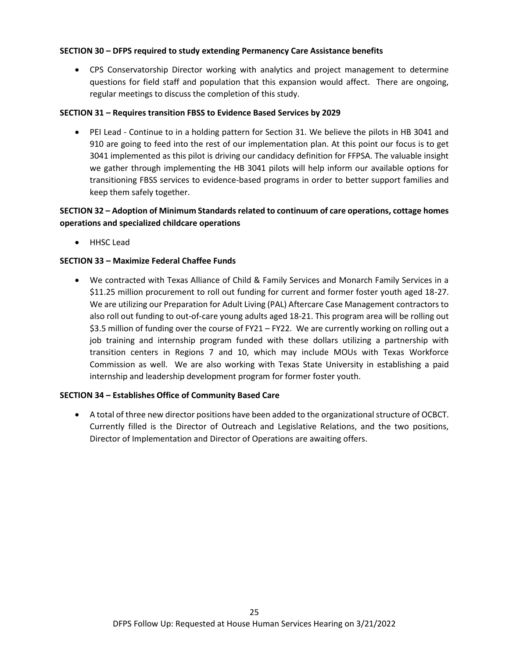#### **SECTION 30 – DFPS required to study extending Permanency Care Assistance benefits**

• CPS Conservatorship Director working with analytics and project management to determine questions for field staff and population that this expansion would affect. There are ongoing, regular meetings to discuss the completion of this study.

#### **SECTION 31 – Requires transition FBSS to Evidence Based Services by 2029**

• PEI Lead - Continue to in a holding pattern for Section 31. We believe the pilots in HB 3041 and 910 are going to feed into the rest of our implementation plan. At this point our focus is to get 3041 implemented as this pilot is driving our candidacy definition for FFPSA. The valuable insight we gather through implementing the HB 3041 pilots will help inform our available options for transitioning FBSS services to evidence-based programs in order to better support families and keep them safely together.

# **SECTION 32 – Adoption of Minimum Standards related to continuum of care operations, cottage homes operations and specialized childcare operations**

• HHSC Lead

## **SECTION 33 – Maximize Federal Chaffee Funds**

• We contracted with Texas Alliance of Child & Family Services and Monarch Family Services in a \$11.25 million procurement to roll out funding for current and former foster youth aged 18-27. We are utilizing our Preparation for Adult Living (PAL) Aftercare Case Management contractors to also roll out funding to out-of-care young adults aged 18-21. This program area will be rolling out \$3.5 million of funding over the course of FY21 – FY22. We are currently working on rolling out a job training and internship program funded with these dollars utilizing a partnership with transition centers in Regions 7 and 10, which may include MOUs with Texas Workforce Commission as well. We are also working with Texas State University in establishing a paid internship and leadership development program for former foster youth.

#### **SECTION 34 – Establishes Office of Community Based Care**

• A total of three new director positions have been added to the organizational structure of OCBCT. Currently filled is the Director of Outreach and Legislative Relations, and the two positions, Director of Implementation and Director of Operations are awaiting offers.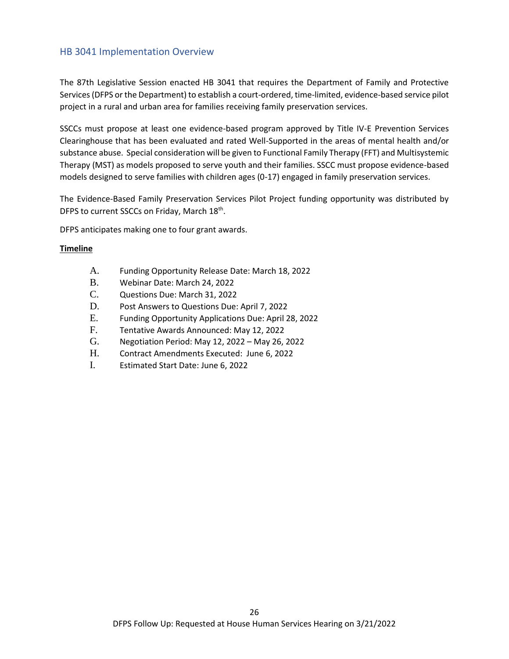# <span id="page-25-0"></span>HB 3041 Implementation Overview

The 87th Legislative Session enacted HB 3041 that requires the Department of Family and Protective Services (DFPS or the Department) to establish a court-ordered, time-limited, evidence-based service pilot project in a rural and urban area for families receiving family preservation services.

SSCCs must propose at least one evidence-based program approved by Title IV-E Prevention Services Clearinghouse that has been evaluated and rated Well-Supported in the areas of mental health and/or substance abuse. Special consideration will be given to Functional Family Therapy (FFT) and Multisystemic Therapy (MST) as models proposed to serve youth and their families. SSCC must propose evidence-based models designed to serve families with children ages (0-17) engaged in family preservation services.

The Evidence-Based Family Preservation Services Pilot Project funding opportunity was distributed by DFPS to current SSCCs on Friday, March 18<sup>th</sup>.

DFPS anticipates making one to four grant awards.

#### **Timeline**

- A. Funding Opportunity Release Date: March 18, 2022
- B. Webinar Date: March 24, 2022
- C. Questions Due: March 31, 2022
- D. Post Answers to Questions Due: April 7, 2022
- E. Funding Opportunity Applications Due: April 28, 2022
- F. Tentative Awards Announced: May 12, 2022
- G. Negotiation Period: May 12, 2022 May 26, 2022
- H. Contract Amendments Executed: June 6, 2022
- I. Estimated Start Date: June 6, 2022